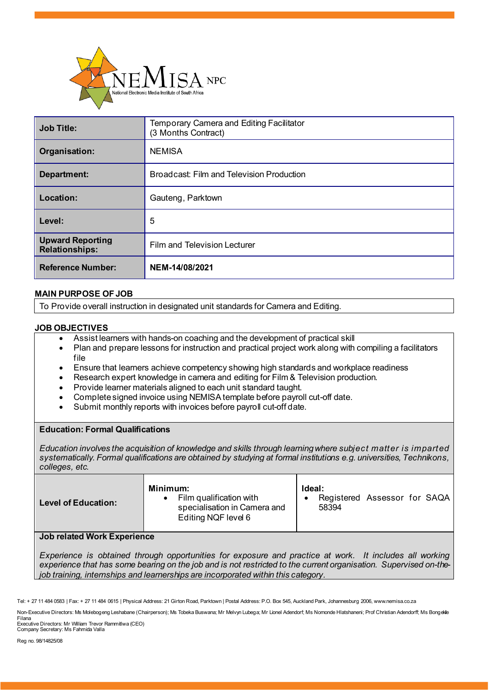

| <b>Job Title:</b>                                | Temporary Camera and Editing Facilitator<br>(3 Months Contract) |
|--------------------------------------------------|-----------------------------------------------------------------|
| Organisation:                                    | <b>NEMISA</b>                                                   |
| Department:                                      | Broadcast: Film and Television Production                       |
| Location:                                        | Gauteng, Parktown                                               |
| Level:                                           | 5                                                               |
| <b>Upward Reporting</b><br><b>Relationships:</b> | Film and Television Lecturer                                    |
| <b>Reference Number:</b>                         | NEM-14/08/2021                                                  |

# **MAIN PURPOSE OF JOB**

To Provide overall instruction in designated unit standards for Camera and Editing.

## **JOB OBJECTIVES**

- Assist learners with hands-on coaching and the development of practical skill
- Plan and prepare lessons for instruction and practical project work along with compiling a facilitators file
- Ensure that learners achieve competency showing high standards and workplace readiness
- Research expert knowledge in camera and editing for Film & Television production.
- Provide learner materials aligned to each unit standard taught.
- Complete signed invoice using NEMISA template before payroll cut-off date.
- Submit monthly reports with invoices before payroll cut-off date.

#### **Education: Formal Qualifications**

*Education involves the acquisition of knowledge and skills through learning where subject matter is imparted systematically. Formal qualifications are obtained by studying at formal institutions e.g. universities, Technikons, colleges, etc.*

| Minimum:<br>Ideal:<br>Film qualification with<br>Registered Assessor for SAQA<br><b>Level of Education:</b><br>specialisation in Camera and<br>58394<br>Editing NQF level 6 |  |
|-----------------------------------------------------------------------------------------------------------------------------------------------------------------------------|--|
|-----------------------------------------------------------------------------------------------------------------------------------------------------------------------------|--|

#### **Job related Work Experience**

*Experience is obtained through opportunities for exposure and practice at work. It includes all working experience that has some bearing on the job and is not restricted to the current organisation. Supervised on-thejob training, internships and learnerships are incorporated within this category.*

Filana Executive Directors: Mr William Trevor Rammitlwa (CEO) Company Secretary: Ms Fahmida Valla

Reg no. 98/14825/08

Tel: + 27 11 484 0583 | Fax: + 27 11 484 0615 | Physical Address: 21 Girton Road, Parktown | Postal Address: P.O. Box 545, Auckland Park, Johannesburg 2006, www.nemisa.co.za

Non-Executive Directors: Ms Molebogeng Leshabane (Chairperson); Ms Tobeka Buswana; Mr Melvyn Lubega; Mr Lionel Adendorf; Ms Nomonde Hlatshaneni; Prof Christian Adendorff; Ms Bongekile